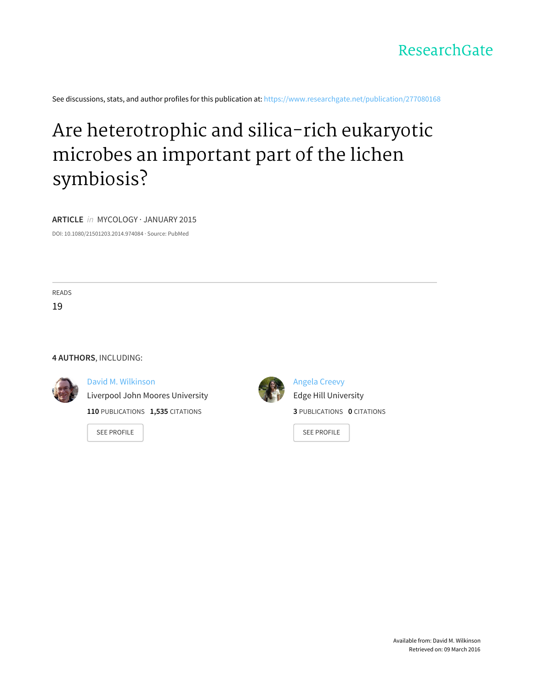

See discussions, stats, and author profiles for this publication at: [https://www.researchgate.net/publication/277080168](https://www.researchgate.net/publication/277080168_Are_heterotrophic_and_silica-rich_eukaryotic_microbes_an_important_part_of_the_lichen_symbiosis?enrichId=rgreq-d1098ebc-4048-4fff-9bb9-93181bdf5268&enrichSource=Y292ZXJQYWdlOzI3NzA4MDE2ODtBUzoyMzU4MDM1NDQ2NDk3MzNAMTQzMzIzMTM1NDg4Mw%3D%3D&el=1_x_2)

# Are [heterotrophic](https://www.researchgate.net/publication/277080168_Are_heterotrophic_and_silica-rich_eukaryotic_microbes_an_important_part_of_the_lichen_symbiosis?enrichId=rgreq-d1098ebc-4048-4fff-9bb9-93181bdf5268&enrichSource=Y292ZXJQYWdlOzI3NzA4MDE2ODtBUzoyMzU4MDM1NDQ2NDk3MzNAMTQzMzIzMTM1NDg4Mw%3D%3D&el=1_x_3) and silica-rich eukaryotic microbes an important part of the lichen symbiosis?

**ARTICLE** in MYCOLOGY · JANUARY 2015

DOI: 10.1080/21501203.2014.974084 · Source: PubMed

READS

19

#### **4 AUTHORS**, INCLUDING:



#### David M. [Wilkinson](https://www.researchgate.net/profile/David_Wilkinson16?enrichId=rgreq-d1098ebc-4048-4fff-9bb9-93181bdf5268&enrichSource=Y292ZXJQYWdlOzI3NzA4MDE2ODtBUzoyMzU4MDM1NDQ2NDk3MzNAMTQzMzIzMTM1NDg4Mw%3D%3D&el=1_x_5)

Liverpool John Moores [University](https://www.researchgate.net/institution/Liverpool_John_Moores_University?enrichId=rgreq-d1098ebc-4048-4fff-9bb9-93181bdf5268&enrichSource=Y292ZXJQYWdlOzI3NzA4MDE2ODtBUzoyMzU4MDM1NDQ2NDk3MzNAMTQzMzIzMTM1NDg4Mw%3D%3D&el=1_x_6)

**110** PUBLICATIONS **1,535** CITATIONS

SEE [PROFILE](https://www.researchgate.net/profile/David_Wilkinson16?enrichId=rgreq-d1098ebc-4048-4fff-9bb9-93181bdf5268&enrichSource=Y292ZXJQYWdlOzI3NzA4MDE2ODtBUzoyMzU4MDM1NDQ2NDk3MzNAMTQzMzIzMTM1NDg4Mw%3D%3D&el=1_x_7)



[Angela](https://www.researchgate.net/profile/Angela_Creevy2?enrichId=rgreq-d1098ebc-4048-4fff-9bb9-93181bdf5268&enrichSource=Y292ZXJQYWdlOzI3NzA4MDE2ODtBUzoyMzU4MDM1NDQ2NDk3MzNAMTQzMzIzMTM1NDg4Mw%3D%3D&el=1_x_5) Creevy Edge Hill [University](https://www.researchgate.net/institution/Edge_Hill_University?enrichId=rgreq-d1098ebc-4048-4fff-9bb9-93181bdf5268&enrichSource=Y292ZXJQYWdlOzI3NzA4MDE2ODtBUzoyMzU4MDM1NDQ2NDk3MzNAMTQzMzIzMTM1NDg4Mw%3D%3D&el=1_x_6) **3** PUBLICATIONS **0** CITATIONS

SEE [PROFILE](https://www.researchgate.net/profile/Angela_Creevy2?enrichId=rgreq-d1098ebc-4048-4fff-9bb9-93181bdf5268&enrichSource=Y292ZXJQYWdlOzI3NzA4MDE2ODtBUzoyMzU4MDM1NDQ2NDk3MzNAMTQzMzIzMTM1NDg4Mw%3D%3D&el=1_x_7)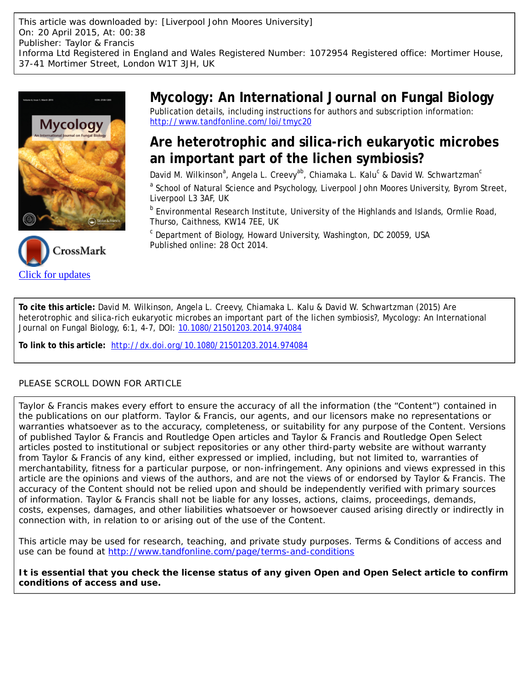This article was downloaded by: [Liverpool John Moores University] On: 20 April 2015, At: 00:38 Publisher: Taylor & Francis Informa Ltd Registered in England and Wales Registered Number: 1072954 Registered office: Mortimer House, 37-41 Mortimer Street, London W1T 3JH, UK





**Mycology: An International Journal on Fungal Biology** Publication details, including instructions for authors and subscription information: <http://www.tandfonline.com/loi/tmyc20>

# **Are heterotrophic and silica-rich eukaryotic microbes an important part of the lichen symbiosis?**

David M. Wilkinson<sup>a</sup>, Angela L. Creevy<sup>ab</sup>, Chiamaka L. Kalu<sup>c</sup> & David W. Schwartzman<sup>c</sup>

<sup>a</sup> School of Natural Science and Psychology, Liverpool John Moores University, Byrom Street, Liverpool L3 3AF, UK

**b** Environmental Research Institute, University of the Highlands and Islands, Ormlie Road, Thurso, Caithness, KW14 7EE, UK

<sup>c</sup> Department of Biology, Howard University, Washington, DC 20059, USA Published online: 28 Oct 2014.

**To cite this article:** David M. Wilkinson, Angela L. Creevy, Chiamaka L. Kalu & David W. Schwartzman (2015) Are heterotrophic and silica-rich eukaryotic microbes an important part of the lichen symbiosis?, Mycology: An International Journal on Fungal Biology, 6:1, 4-7, DOI: [10.1080/21501203.2014.974084](http://www.tandfonline.com/action/showCitFormats?doi=10.1080/21501203.2014.974084)

**To link to this article:** <http://dx.doi.org/10.1080/21501203.2014.974084>

## PLEASE SCROLL DOWN FOR ARTICLE

Taylor & Francis makes every effort to ensure the accuracy of all the information (the "Content") contained in the publications on our platform. Taylor & Francis, our agents, and our licensors make no representations or warranties whatsoever as to the accuracy, completeness, or suitability for any purpose of the Content. Versions of published Taylor & Francis and Routledge Open articles and Taylor & Francis and Routledge Open Select articles posted to institutional or subject repositories or any other third-party website are without warranty from Taylor & Francis of any kind, either expressed or implied, including, but not limited to, warranties of merchantability, fitness for a particular purpose, or non-infringement. Any opinions and views expressed in this article are the opinions and views of the authors, and are not the views of or endorsed by Taylor & Francis. The accuracy of the Content should not be relied upon and should be independently verified with primary sources of information. Taylor & Francis shall not be liable for any losses, actions, claims, proceedings, demands, costs, expenses, damages, and other liabilities whatsoever or howsoever caused arising directly or indirectly in connection with, in relation to or arising out of the use of the Content.

This article may be used for research, teaching, and private study purposes. Terms & Conditions of access and use can be found at <http://www.tandfonline.com/page/terms-and-conditions>

**It is essential that you check the license status of any given Open and Open Select article to confirm conditions of access and use.**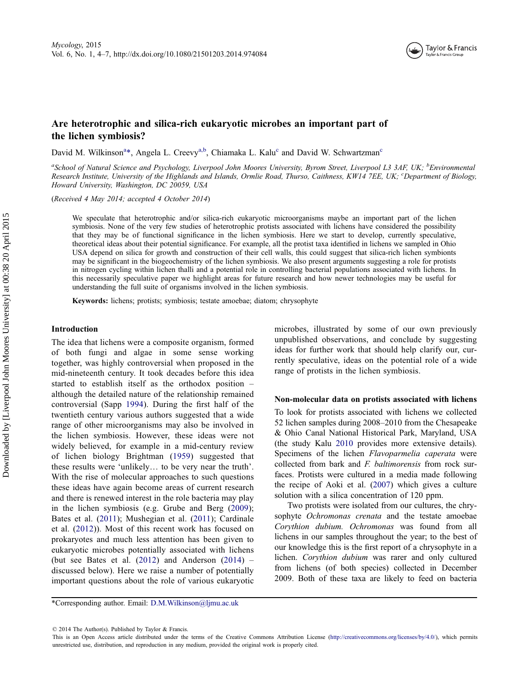

### Are heterotrophic and silica-rich eukaryotic microbes an important part of the lichen symbiosis?

David M. Wilkinson<sup>a</sup>\*, Angela L. Creevy<sup>a,b</sup>, Chiamaka L. Kalu<sup>c</sup> and David W. Schwartzman<sup>c</sup>

<sup>a</sup>School of Natural Science and Psychology, Liverpool John Moores University, Byrom Street, Liverpool L3 3AF, UK; <sup>b</sup>Environmental Research Institute, University of the Highlands and Islands, Ormlie Road, Thurso, Caithness, KW14 7EE, UK; <sup>c</sup>Department of Biology, Howard University, Washington, DC 20059, USA

(Received 4 May 2014; accepted 4 October 2014)

We speculate that heterotrophic and/or silica-rich eukaryotic microorganisms maybe an important part of the lichen symbiosis. None of the very few studies of heterotrophic protists associated with lichens have considered the possibility that they may be of functional significance in the lichen symbiosis. Here we start to develop, currently speculative, theoretical ideas about their potential significance. For example, all the protist taxa identified in lichens we sampled in Ohio USA depend on silica for growth and construction of their cell walls, this could suggest that silica-rich lichen symbionts may be significant in the biogeochemistry of the lichen symbiosis. We also present arguments suggesting a role for protists in nitrogen cycling within lichen thalli and a potential role in controlling bacterial populations associated with lichens. In this necessarily speculative paper we highlight areas for future research and how newer technologies may be useful for understanding the full suite of organisms involved in the lichen symbiosis.

Keywords: lichens; protists; symbiosis; testate amoebae; diatom; chrysophyte

#### Introduction

The idea that lichens were a composite organism, formed of both fungi and algae in some sense working together, was highly controversial when proposed in the mid-nineteenth century. It took decades before this idea started to establish itself as the orthodox position – although the detailed nature of the relationship remained controversial (Sapp [1994](#page-5-0)). During the first half of the twentieth century various authors suggested that a wide range of other microorganisms may also be involved in the lichen symbiosis. However, these ideas were not widely believed, for example in a mid-century review of lichen biology Brightman [\(1959\)](#page-4-0) suggested that these results were 'unlikely… to be very near the truth'. With the rise of molecular approaches to such questions these ideas have again become areas of current research and there is renewed interest in the role bacteria may play in the lichen symbiosis (e.g. Grube and Berg ([2009](#page-5-0)); Bates et al. ([2011\)](#page-4-0); Mushegian et al. ([2011](#page-5-0)); Cardinale et al. ([2012\)](#page-4-0)). Most of this recent work has focused on prokaryotes and much less attention has been given to eukaryotic microbes potentially associated with lichens (but see Bates et al.  $(2012)$  $(2012)$  $(2012)$  and Anderson  $(2014)$  $(2014)$  $(2014)$  – discussed below). Here we raise a number of potentially important questions about the role of various eukaryotic microbes, illustrated by some of our own previously unpublished observations, and conclude by suggesting ideas for further work that should help clarify our, currently speculative, ideas on the potential role of a wide range of protists in the lichen symbiosis.

#### Non-molecular data on protists associated with lichens

To look for protists associated with lichens we collected 52 lichen samples during 2008–2010 from the Chesapeake & Ohio Canal National Historical Park, Maryland, USA (the study Kalu [2010](#page-5-0) provides more extensive details). Specimens of the lichen Flavoparmelia caperata were collected from bark and F. baltimorensis from rock surfaces. Protists were cultured in a media made following the recipe of Aoki et al. ([2007\)](#page-4-0) which gives a culture solution with a silica concentration of 120 ppm.

Two protists were isolated from our cultures, the chrysophyte Ochromonas crenata and the testate amoebae Corythion dubium. Ochromonas was found from all lichens in our samples throughout the year; to the best of our knowledge this is the first report of a chrysophyte in a lichen. Corythion dubium was rarer and only cultured from lichens (of both species) collected in December 2009. Both of these taxa are likely to feed on bacteria

<sup>\*</sup>Corresponding author. Email: D.M.Wilkinson@ljmu.ac.uk

<sup>© 2014</sup> The Author(s). Published by Taylor & Francis.

This is an Open Access article distributed under the terms of the Creative Commons Attribution License (http://creativecommons.org/licenses/by/4.0/), which permits unrestricted use, distribution, and reproduction in any medium, provided the original work is properly cited.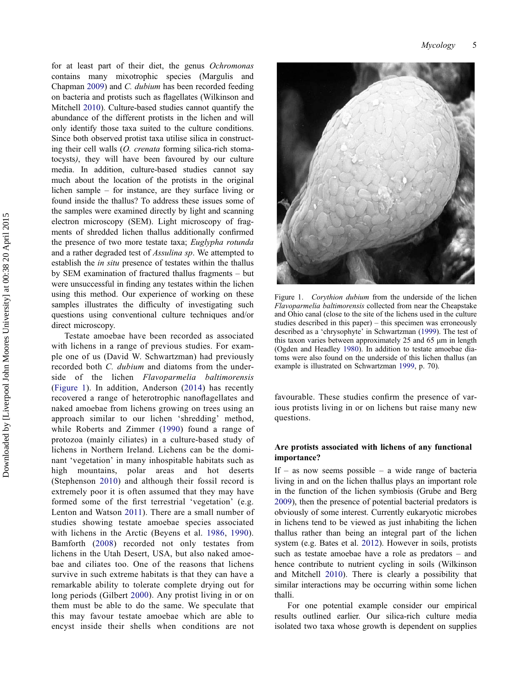for at least part of their diet, the genus Ochromonas contains many mixotrophic species (Margulis and Chapman [2009](#page-5-0)) and C. dubium has been recorded feeding on bacteria and protists such as flagellates (Wilkinson and Mitchell [2010\)](#page-5-0). Culture-based studies cannot quantify the abundance of the different protists in the lichen and will only identify those taxa suited to the culture conditions. Since both observed protist taxa utilise silica in constructing their cell walls (*O. crenata* forming silica-rich stomatocysts), they will have been favoured by our culture media. In addition, culture-based studies cannot say much about the location of the protists in the original lichen sample – for instance, are they surface living or found inside the thallus? To address these issues some of the samples were examined directly by light and scanning electron microscopy (SEM). Light microscopy of fragments of shredded lichen thallus additionally confirmed the presence of two more testate taxa; Euglypha rotunda and a rather degraded test of Assulina sp. We attempted to establish the *in situ* presence of testates within the thallus by SEM examination of fractured thallus fragments – but were unsuccessful in finding any testates within the lichen using this method. Our experience of working on these samples illustrates the difficulty of investigating such questions using conventional culture techniques and/or direct microscopy.

Testate amoebae have been recorded as associated with lichens in a range of previous studies. For example one of us (David W. Schwartzman) had previously recorded both C. dubium and diatoms from the underside of the lichen Flavoparmelia baltimorensis (Figure 1). In addition, Anderson [\(2014](#page-4-0)) has recently recovered a range of heterotrophic nanoflagellates and naked amoebae from lichens growing on trees using an approach similar to our lichen 'shredding' method, while Roberts and Zimmer ([1990\)](#page-5-0) found a range of protozoa (mainly ciliates) in a culture-based study of lichens in Northern Ireland. Lichens can be the dominant 'vegetation' in many inhospitable habitats such as high mountains, polar areas and hot deserts (Stephenson [2010\)](#page-5-0) and although their fossil record is extremely poor it is often assumed that they may have formed some of the first terrestrial 'vegetation' (e.g. Lenton and Watson [2011](#page-5-0)). There are a small number of studies showing testate amoebae species associated with lichens in the Arctic (Beyens et al. [1986,](#page-4-0) [1990\)](#page-4-0). Bamforth ([2008\)](#page-4-0) recorded not only testates from lichens in the Utah Desert, USA, but also naked amoebae and ciliates too. One of the reasons that lichens survive in such extreme habitats is that they can have a remarkable ability to tolerate complete drying out for long periods (Gilbert [2000](#page-5-0)). Any protist living in or on them must be able to do the same. We speculate that this may favour testate amoebae which are able to encyst inside their shells when conditions are not



Figure 1. Corythion dubium from the underside of the lichen Flavoparmelia baltimorensis collected from near the Cheapstake and Ohio canal (close to the site of the lichens used in the culture studies described in this paper) – this specimen was erroneously described as a 'chrysophyte' in Schwartzman ([1999\)](#page-5-0). The test of this taxon varies between approximately 25 and 65 μm in length (Ogden and Headley [1980](#page-5-0)). In addition to testate amoebae diatoms were also found on the underside of this lichen thallus (an example is illustrated on Schwartzman [1999,](#page-5-0) p. 70).

favourable. These studies confirm the presence of various protists living in or on lichens but raise many new questions.

#### Are protists associated with lichens of any functional importance?

If – as now seems possible – a wide range of bacteria living in and on the lichen thallus plays an important role in the function of the lichen symbiosis (Grube and Berg [2009](#page-5-0)), then the presence of potential bacterial predators is obviously of some interest. Currently eukaryotic microbes in lichens tend to be viewed as just inhabiting the lichen thallus rather than being an integral part of the lichen system (e.g. Bates et al. [2012\)](#page-4-0). However in soils, protists such as testate amoebae have a role as predators – and hence contribute to nutrient cycling in soils (Wilkinson and Mitchell [2010\)](#page-5-0). There is clearly a possibility that similar interactions may be occurring within some lichen thalli.

For one potential example consider our empirical results outlined earlier. Our silica-rich culture media isolated two taxa whose growth is dependent on supplies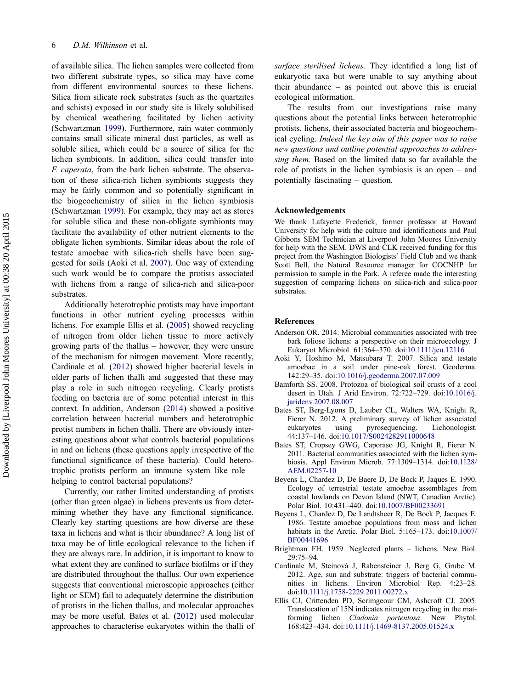<span id="page-4-0"></span>of available silica. The lichen samples were collected from two different substrate types, so silica may have come from different environmental sources to these lichens. Silica from silicate rock substrates (such as the quartzites and schists) exposed in our study site is likely solubilised by chemical weathering facilitated by lichen activity (Schwartzman [1999](#page-5-0)). Furthermore, rain water commonly contains small silicate mineral dust particles, as well as soluble silica, which could be a source of silica for the lichen symbionts. In addition, silica could transfer into F. caperata, from the bark lichen substrate. The observation of these silica-rich lichen symbionts suggests they may be fairly common and so potentially significant in the biogeochemistry of silica in the lichen symbiosis (Schwartzman [1999](#page-5-0)). For example, they may act as stores for soluble silica and these non-obligate symbionts may facilitate the availability of other nutrient elements to the obligate lichen symbionts. Similar ideas about the role of testate amoebae with silica-rich shells have been suggested for soils (Aoki et al. 2007). One way of extending such work would be to compare the protists associated with lichens from a range of silica-rich and silica-poor substrates.

Additionally heterotrophic protists may have important functions in other nutrient cycling processes within lichens. For example Ellis et al. (2005) showed recycling of nitrogen from older lichen tissue to more actively growing parts of the thallus – however, they were unsure of the mechanism for nitrogen movement. More recently, Cardinale et al. (2012) showed higher bacterial levels in older parts of lichen thalli and suggested that these may play a role in such nitrogen recycling. Clearly protists feeding on bacteria are of some potential interest in this context. In addition, Anderson (2014) showed a positive correlation between bacterial numbers and heterotrophic protist numbers in lichen thalli. There are obviously interesting questions about what controls bacterial populations in and on lichens (these questions apply irrespective of the functional significance of these bacteria). Could heterotrophic protists perform an immune system–like role – helping to control bacterial populations?

Currently, our rather limited understanding of protists (other than green algae) in lichens prevents us from determining whether they have any functional significance. Clearly key starting questions are how diverse are these taxa in lichens and what is their abundance? A long list of taxa may be of little ecological relevance to the lichen if they are always rare. In addition, it is important to know to what extent they are confined to surface biofilms or if they are distributed throughout the thallus. Our own experience suggests that conventional microscopic approaches (either light or SEM) fail to adequately determine the distribution of protists in the lichen thallus, and molecular approaches may be more useful. Bates et al. (2012) used molecular approaches to characterise eukaryotes within the thalli of surface sterilised lichens. They identified a long list of eukaryotic taxa but were unable to say anything about their abundance – as pointed out above this is crucial ecological information.

The results from our investigations raise many questions about the potential links between heterotrophic protists, lichens, their associated bacteria and biogeochemical cycling. Indeed the key aim of this paper was to raise new questions and outline potential approaches to addressing them. Based on the limited data so far available the role of protists in the lichen symbiosis is an open – and potentially fascinating – question.

#### Acknowledgements

We thank Lafayette Frederick, former professor at Howard University for help with the culture and identifications and Paul Gibbons SEM Technician at Liverpool John Moores University for help with the SEM. DWS and CLK received funding for this project from the Washington Biologists' Field Club and we thank Scott Bell, the Natural Resource manager for COCNHP for permission to sample in the Park. A referee made the interesting suggestion of comparing lichens on silica-rich and silica-poor substrates.

#### References

- Anderson OR. 2014. Microbial communities associated with tree bark foliose lichens: a perspective on their microecology. J Eukaryot Microbiol. 61:364–370. doi[:10.1111/jeu.12116](http://dx.doi.org/10.1111/jeu.12116)
- Aoki Y, Hoshino M, Matsubara T. 2007. Silica and testate amoebae in a soil under pine-oak forest. Geoderma. 142:29–35. doi:[10.1016/j.geoderma.2007.07.009](http://dx.doi.org/10.1016/j.geoderma.2007.07.009)
- Bamforth SS. 2008. Protozoa of biological soil crusts of a cool desert in Utah. J Arid Environ. 72:722–729. doi[:10.1016/j.](http://dx.doi.org/10.1016/j.jaridenv.2007.08.007) [jaridenv.2007.08.007](http://dx.doi.org/10.1016/j.jaridenv.2007.08.007)
- Bates ST, Berg-Lyons D, Lauber CL, Walters WA, Knight R, Fierer N. 2012. A preliminary survey of lichen associated eukarvotes using pyrosequencing. Lichonologist. eukaryotes using pyrosequencing. Lichonologist. 44:137–146. doi[:10.1017/S0024282911000648](http://dx.doi.org/10.1017/S0024282911000648)
- Bates ST, Cropsey GWG, Caporaso JG, Knight R, Fierer N. 2011. Bacterial communities associated with the lichen symbiosis. Appl Environ Microb. 77:1309–1314. doi[:10.1128/](http://dx.doi.org/10.1128/AEM.02257-10) [AEM.02257-10](http://dx.doi.org/10.1128/AEM.02257-10)
- Beyens L, Chardez D, De Baere D, De Bock P, Jaques E. 1990. Ecology of terrestrial testate amoebae assemblages from coastal lowlands on Devon Island (NWT, Canadian Arctic). Polar Biol. 10:431–440. doi[:10.1007/BF00233691](http://dx.doi.org/10.1007/BF00233691)
- Beyens L, Chardez D, De Landtsheer R, De Bock P, Jacques E. 1986. Testate amoebae populations from moss and lichen habitats in the Arctic. Polar Biol. 5:165-173. doi:[10.1007/](http://dx.doi.org/10.1007/BF00441696) [BF00441696](http://dx.doi.org/10.1007/BF00441696)
- Brightman FH. 1959. Neglected plants lichens. New Biol. 29:75–94.
- Cardinale M, Steinová J, Rabensteiner J, Berg G, Grube M. 2012. Age, sun and substrate: triggers of bacterial communities in lichens. Environ Microbiol Rep. 4:23–28. doi[:10.1111/j.1758-2229.2011.00272.x](http://dx.doi.org/10.1111/j.1758-2229.2011.00272.x)
- Ellis CJ, Crittenden PD, Scrimgeour CM, Ashcroft CJ. 2005. Translocation of 15N indicates nitrogen recycling in the matforming lichen Cladonia portentosa. New Phytol. 168:423–434. doi:[10.1111/j.1469-8137.2005.01524.x](http://dx.doi.org/10.1111/j.1469-8137.2005.01524.x)